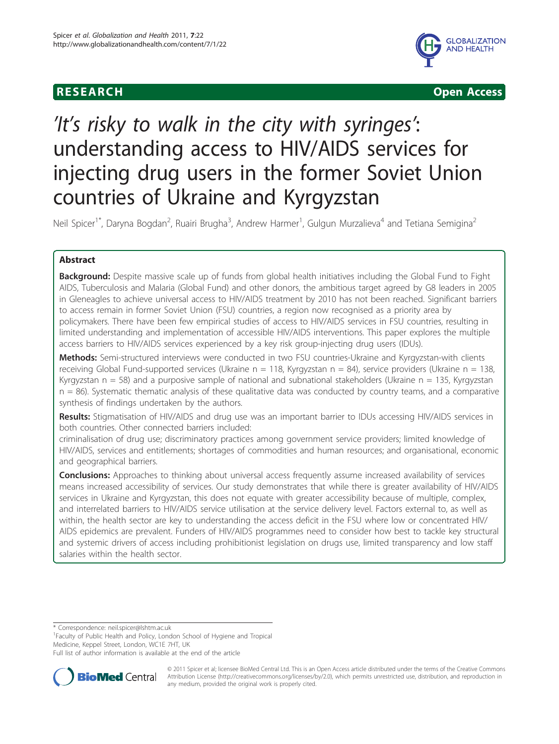



# 'It's risky to walk in the city with syringes': understanding access to HIV/AIDS services for injecting drug users in the former Soviet Union countries of Ukraine and Kyrgyzstan

Neil Spicer<sup>1\*</sup>, Daryna Bogdan<sup>2</sup>, Ruairi Brugha<sup>3</sup>, Andrew Harmer<sup>1</sup>, Gulgun Murzalieva<sup>4</sup> and Tetiana Semigina<sup>2</sup>

# Abstract

**Background:** Despite massive scale up of funds from global health initiatives including the Global Fund to Fight AIDS, Tuberculosis and Malaria (Global Fund) and other donors, the ambitious target agreed by G8 leaders in 2005 in Gleneagles to achieve universal access to HIV/AIDS treatment by 2010 has not been reached. Significant barriers to access remain in former Soviet Union (FSU) countries, a region now recognised as a priority area by policymakers. There have been few empirical studies of access to HIV/AIDS services in FSU countries, resulting in limited understanding and implementation of accessible HIV/AIDS interventions. This paper explores the multiple access barriers to HIV/AIDS services experienced by a key risk group-injecting drug users (IDUs).

Methods: Semi-structured interviews were conducted in two FSU countries-Ukraine and Kyrgyzstan-with clients receiving Global Fund-supported services (Ukraine  $n = 118$ , Kyrgyzstan  $n = 84$ ), service providers (Ukraine  $n = 138$ , Kyrgyzstan n = 58) and a purposive sample of national and subnational stakeholders (Ukraine n = 135, Kyrgyzstan  $n = 86$ ). Systematic thematic analysis of these qualitative data was conducted by country teams, and a comparative synthesis of findings undertaken by the authors.

Results: Stigmatisation of HIV/AIDS and drug use was an important barrier to IDUs accessing HIV/AIDS services in both countries. Other connected barriers included:

criminalisation of drug use; discriminatory practices among government service providers; limited knowledge of HIV/AIDS, services and entitlements; shortages of commodities and human resources; and organisational, economic and geographical barriers.

Conclusions: Approaches to thinking about universal access frequently assume increased availability of services means increased accessibility of services. Our study demonstrates that while there is greater availability of HIV/AIDS services in Ukraine and Kyrgyzstan, this does not equate with greater accessibility because of multiple, complex, and interrelated barriers to HIV/AIDS service utilisation at the service delivery level. Factors external to, as well as within, the health sector are key to understanding the access deficit in the FSU where low or concentrated HIV/ AIDS epidemics are prevalent. Funders of HIV/AIDS programmes need to consider how best to tackle key structural and systemic drivers of access including prohibitionist legislation on drugs use, limited transparency and low staff salaries within the health sector.

\* Correspondence: [neil.spicer@lshtm.ac.uk](mailto:neil.spicer@lshtm.ac.uk)

<sup>1</sup> Faculty of Public Health and Policy, London School of Hygiene and Tropical Medicine, Keppel Street, London, WC1E 7HT, UK

Full list of author information is available at the end of the article



© 2011 Spicer et al; licensee BioMed Central Ltd. This is an Open Access article distributed under the terms of the Creative Commons Attribution License [\(http://creativecommons.org/licenses/by/2.0](http://creativecommons.org/licenses/by/2.0)), which permits unrestricted use, distribution, and reproduction in any medium, provided the original work is properly cited.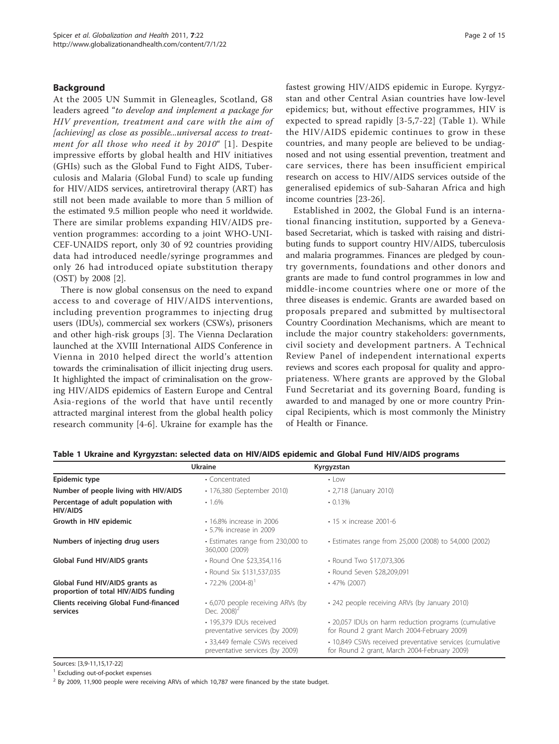# <span id="page-1-0"></span>Background

At the 2005 UN Summit in Gleneagles, Scotland, G8 leaders agreed "to develop and implement a package for HIV prevention, treatment and care with the aim of [achieving] as close as possible...universal access to treatment for all those who need it by 2010" [[1\]](#page-12-0). Despite impressive efforts by global health and HIV initiatives (GHIs) such as the Global Fund to Fight AIDS, Tuberculosis and Malaria (Global Fund) to scale up funding for HIV/AIDS services, antiretroviral therapy (ART) has still not been made available to more than 5 million of the estimated 9.5 million people who need it worldwide. There are similar problems expanding HIV/AIDS prevention programmes: according to a joint WHO-UNI-CEF-UNAIDS report, only 30 of 92 countries providing data had introduced needle/syringe programmes and only 26 had introduced opiate substitution therapy (OST) by 2008 [[2\]](#page-12-0).

There is now global consensus on the need to expand access to and coverage of HIV/AIDS interventions, including prevention programmes to injecting drug users (IDUs), commercial sex workers (CSWs), prisoners and other high-risk groups [\[3](#page-12-0)]. The Vienna Declaration launched at the XVIII International AIDS Conference in Vienna in 2010 helped direct the world's attention towards the criminalisation of illicit injecting drug users. It highlighted the impact of criminalisation on the growing HIV/AIDS epidemics of Eastern Europe and Central Asia-regions of the world that have until recently attracted marginal interest from the global health policy research community [[4-6](#page-12-0)]. Ukraine for example has the fastest growing HIV/AIDS epidemic in Europe. Kyrgyzstan and other Central Asian countries have low-level epidemics; but, without effective programmes, HIV is expected to spread rapidly [[3-5,7](#page-12-0)-[22](#page-13-0)] (Table 1). While the HIV/AIDS epidemic continues to grow in these countries, and many people are believed to be undiagnosed and not using essential prevention, treatment and care services, there has been insufficient empirical research on access to HIV/AIDS services outside of the generalised epidemics of sub-Saharan Africa and high income countries [[23-26\]](#page-13-0).

Established in 2002, the Global Fund is an international financing institution, supported by a Genevabased Secretariat, which is tasked with raising and distributing funds to support country HIV/AIDS, tuberculosis and malaria programmes. Finances are pledged by country governments, foundations and other donors and grants are made to fund control programmes in low and middle-income countries where one or more of the three diseases is endemic. Grants are awarded based on proposals prepared and submitted by multisectoral Country Coordination Mechanisms, which are meant to include the major country stakeholders: governments, civil society and development partners. A Technical Review Panel of independent international experts reviews and scores each proposal for quality and appropriateness. Where grants are approved by the Global Fund Secretariat and its governing Board, funding is awarded to and managed by one or more country Principal Recipients, which is most commonly the Ministry of Health or Finance.

| Ukraine                                                                |                                                                  | Kyrgyzstan                                                                                               |  |
|------------------------------------------------------------------------|------------------------------------------------------------------|----------------------------------------------------------------------------------------------------------|--|
| Epidemic type                                                          | • Concentrated                                                   | $\cdot$ Low                                                                                              |  |
| Number of people living with HIV/AIDS                                  | • 176,380 (September 2010)                                       | • 2,718 (January 2010)                                                                                   |  |
| Percentage of adult population with<br><b>HIV/AIDS</b>                 | $\cdot 1.6\%$                                                    | $\cdot$ 0.13%                                                                                            |  |
| Growth in HIV epidemic                                                 | • 16.8% increase in 2006<br>• 5.7% increase in 2009              | $\cdot$ 15 $\times$ increase 2001-6                                                                      |  |
| Numbers of injecting drug users                                        | • Estimates range from 230,000 to<br>360,000 (2009)              | • Estimates range from 25,000 (2008) to 54,000 (2002)                                                    |  |
| Global Fund HIV/AIDS grants                                            | • Round One \$23,354,116                                         | • Round Two \$17,073,306                                                                                 |  |
|                                                                        | • Round Six \$131,537,035                                        | • Round Seven \$28,209,091                                                                               |  |
| Global Fund HIV/AIDS grants as<br>proportion of total HIV/AIDS funding | $\cdot$ 72.2% (2004-8) <sup>1</sup>                              | $\cdot$ 47% (2007)                                                                                       |  |
| <b>Clients receiving Global Fund-financed</b><br>services              | • 6,070 people receiving ARVs (by<br>Dec. $2008$ <sup>2</sup>    | • 242 people receiving ARVs (by January 2010)                                                            |  |
|                                                                        | • 195,379 IDUs received<br>preventative services (by 2009)       | · 20,057 IDUs on harm reduction programs (cumulative<br>for Round 2 grant March 2004-February 2009)      |  |
|                                                                        | • 33,449 female CSWs received<br>preventative services (by 2009) | • 10,849 CSWs received preventative services (cumulative<br>for Round 2 grant, March 2004-February 2009) |  |

Table 1 Ukraine and Kyrgyzstan: selected data on HIV/AIDS epidemic and Global Fund HIV/AIDS programs

Sources: [\[3,9-11,](#page-12-0)[15](#page-13-0),[17-22](#page-13-0)]

<sup>1</sup> Excluding out-of-pocket expenses

 $2$  By 2009, 11,900 people were receiving ARVs of which 10,787 were financed by the state budget.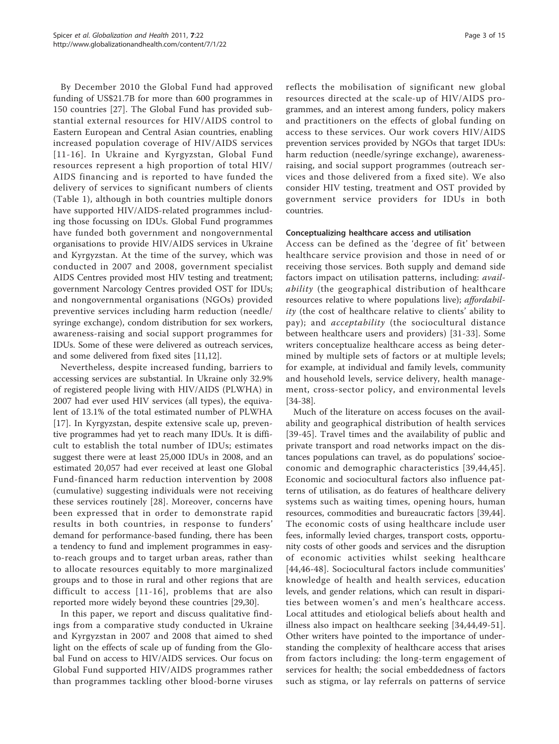By December 2010 the Global Fund had approved funding of US\$21.7B for more than 600 programmes in 150 countries [[27\]](#page-13-0). The Global Fund has provided substantial external resources for HIV/AIDS control to Eastern European and Central Asian countries, enabling increased population coverage of HIV/AIDS services [[11](#page-12-0)-[16\]](#page-13-0). In Ukraine and Kyrgyzstan, Global Fund resources represent a high proportion of total HIV/ AIDS financing and is reported to have funded the delivery of services to significant numbers of clients (Table [1\)](#page-1-0), although in both countries multiple donors have supported HIV/AIDS-related programmes including those focussing on IDUs. Global Fund programmes have funded both government and nongovernmental organisations to provide HIV/AIDS services in Ukraine and Kyrgyzstan. At the time of the survey, which was conducted in 2007 and 2008, government specialist AIDS Centres provided most HIV testing and treatment; government Narcology Centres provided OST for IDUs; and nongovernmental organisations (NGOs) provided preventive services including harm reduction (needle/ syringe exchange), condom distribution for sex workers, awareness-raising and social support programmes for IDUs. Some of these were delivered as outreach services, and some delivered from fixed sites [\[11](#page-12-0)[,12](#page-13-0)].

Nevertheless, despite increased funding, barriers to accessing services are substantial. In Ukraine only 32.9% of registered people living with HIV/AIDS (PLWHA) in 2007 had ever used HIV services (all types), the equivalent of 13.1% of the total estimated number of PLWHA [[17](#page-13-0)]. In Kyrgyzstan, despite extensive scale up, preventive programmes had yet to reach many IDUs. It is difficult to establish the total number of IDUs; estimates suggest there were at least 25,000 IDUs in 2008, and an estimated 20,057 had ever received at least one Global Fund-financed harm reduction intervention by 2008 (cumulative) suggesting individuals were not receiving these services routinely [[28\]](#page-13-0). Moreover, concerns have been expressed that in order to demonstrate rapid results in both countries, in response to funders' demand for performance-based funding, there has been a tendency to fund and implement programmes in easyto-reach groups and to target urban areas, rather than to allocate resources equitably to more marginalized groups and to those in rural and other regions that are difficult to access [[11-](#page-12-0)[16\]](#page-13-0), problems that are also reported more widely beyond these countries [\[29,30\]](#page-13-0).

In this paper, we report and discuss qualitative findings from a comparative study conducted in Ukraine and Kyrgyzstan in 2007 and 2008 that aimed to shed light on the effects of scale up of funding from the Global Fund on access to HIV/AIDS services. Our focus on Global Fund supported HIV/AIDS programmes rather than programmes tackling other blood-borne viruses reflects the mobilisation of significant new global resources directed at the scale-up of HIV/AIDS programmes, and an interest among funders, policy makers and practitioners on the effects of global funding on access to these services. Our work covers HIV/AIDS prevention services provided by NGOs that target IDUs: harm reduction (needle/syringe exchange), awarenessraising, and social support programmes (outreach services and those delivered from a fixed site). We also consider HIV testing, treatment and OST provided by government service providers for IDUs in both countries.

### Conceptualizing healthcare access and utilisation

Access can be defined as the 'degree of fit' between healthcare service provision and those in need of or receiving those services. Both supply and demand side factors impact on utilisation patterns, including: availability (the geographical distribution of healthcare resources relative to where populations live); affordability (the cost of healthcare relative to clients' ability to pay); and *acceptability* (the sociocultural distance between healthcare users and providers) [[31-33\]](#page-13-0). Some writers conceptualize healthcare access as being determined by multiple sets of factors or at multiple levels; for example, at individual and family levels, community and household levels, service delivery, health management, cross-sector policy, and environmental levels [[34-38\]](#page-13-0).

Much of the literature on access focuses on the availability and geographical distribution of health services [[39](#page-13-0)-[45](#page-13-0)]. Travel times and the availability of public and private transport and road networks impact on the distances populations can travel, as do populations' socioeconomic and demographic characteristics [\[39,44,45\]](#page-13-0). Economic and sociocultural factors also influence patterns of utilisation, as do features of healthcare delivery systems such as waiting times, opening hours, human resources, commodities and bureaucratic factors [\[39,44](#page-13-0)]. The economic costs of using healthcare include user fees, informally levied charges, transport costs, opportunity costs of other goods and services and the disruption of economic activities whilst seeking healthcare [[44](#page-13-0),[46-48\]](#page-13-0). Sociocultural factors include communities' knowledge of health and health services, education levels, and gender relations, which can result in disparities between women's and men's healthcare access. Local attitudes and etiological beliefs about health and illness also impact on healthcare seeking [[34,44,49](#page-13-0)-[51](#page-13-0)]. Other writers have pointed to the importance of understanding the complexity of healthcare access that arises from factors including: the long-term engagement of services for health; the social embeddedness of factors such as stigma, or lay referrals on patterns of service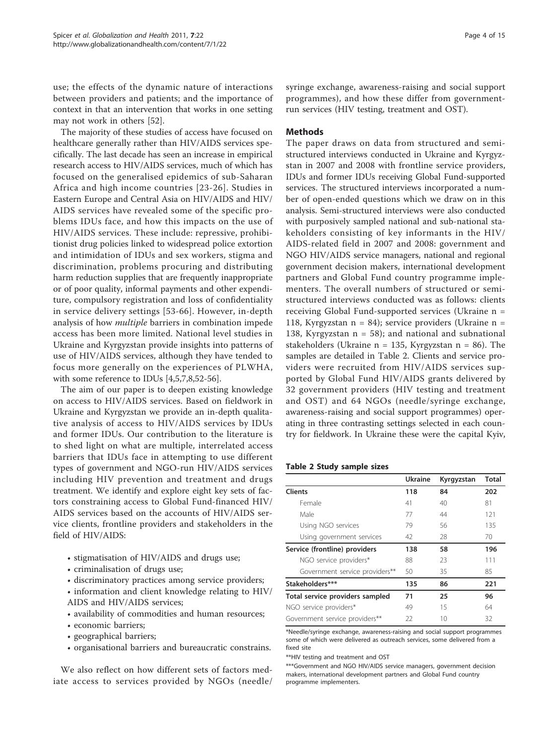use; the effects of the dynamic nature of interactions between providers and patients; and the importance of context in that an intervention that works in one setting may not work in others [\[52](#page-13-0)].

The majority of these studies of access have focused on healthcare generally rather than HIV/AIDS services specifically. The last decade has seen an increase in empirical research access to HIV/AIDS services, much of which has focused on the generalised epidemics of sub-Saharan Africa and high income countries [\[23](#page-13-0)-[26\]](#page-13-0). Studies in Eastern Europe and Central Asia on HIV/AIDS and HIV/ AIDS services have revealed some of the specific problems IDUs face, and how this impacts on the use of HIV/AIDS services. These include: repressive, prohibitionist drug policies linked to widespread police extortion and intimidation of IDUs and sex workers, stigma and discrimination, problems procuring and distributing harm reduction supplies that are frequently inappropriate or of poor quality, informal payments and other expenditure, compulsory registration and loss of confidentiality in service delivery settings [[53](#page-13-0)-[66](#page-13-0)]. However, in-depth analysis of how multiple barriers in combination impede access has been more limited. National level studies in Ukraine and Kyrgyzstan provide insights into patterns of use of HIV/AIDS services, although they have tended to focus more generally on the experiences of PLWHA, with some reference to IDUs [[4](#page-12-0),[5](#page-12-0),[7](#page-12-0),[8,](#page-12-0)[52](#page-13-0)-[56\]](#page-13-0).

The aim of our paper is to deepen existing knowledge on access to HIV/AIDS services. Based on fieldwork in Ukraine and Kyrgyzstan we provide an in-depth qualitative analysis of access to HIV/AIDS services by IDUs and former IDUs. Our contribution to the literature is to shed light on what are multiple, interrelated access barriers that IDUs face in attempting to use different types of government and NGO-run HIV/AIDS services including HIV prevention and treatment and drugs treatment. We identify and explore eight key sets of factors constraining access to Global Fund-financed HIV/ AIDS services based on the accounts of HIV/AIDS service clients, frontline providers and stakeholders in the field of HIV/AIDS:

- stigmatisation of HIV/AIDS and drugs use;
- criminalisation of drugs use;
- discriminatory practices among service providers;
- information and client knowledge relating to HIV/ AIDS and HIV/AIDS services;
- availability of commodities and human resources;
- economic barriers;
- geographical barriers;
- organisational barriers and bureaucratic constrains.

We also reflect on how different sets of factors mediate access to services provided by NGOs (needle/

syringe exchange, awareness-raising and social support programmes), and how these differ from governmentrun services (HIV testing, treatment and OST).

# **Methods**

The paper draws on data from structured and semistructured interviews conducted in Ukraine and Kyrgyzstan in 2007 and 2008 with frontline service providers, IDUs and former IDUs receiving Global Fund-supported services. The structured interviews incorporated a number of open-ended questions which we draw on in this analysis. Semi-structured interviews were also conducted with purposively sampled national and sub-national stakeholders consisting of key informants in the HIV/ AIDS-related field in 2007 and 2008: government and NGO HIV/AIDS service managers, national and regional government decision makers, international development partners and Global Fund country programme implementers. The overall numbers of structured or semistructured interviews conducted was as follows: clients receiving Global Fund-supported services (Ukraine n = 118, Kyrgyzstan  $n = 84$ ); service providers (Ukraine  $n =$ 138, Kyrgyzstan  $n = 58$ ; and national and subnational stakeholders (Ukraine  $n = 135$ , Kyrgyzstan  $n = 86$ ). The samples are detailed in Table 2. Clients and service providers were recruited from HIV/AIDS services supported by Global Fund HIV/AIDS grants delivered by 32 government providers (HIV testing and treatment and OST) and 64 NGOs (needle/syringe exchange, awareness-raising and social support programmes) operating in three contrasting settings selected in each country for fieldwork. In Ukraine these were the capital Kyiv,

#### Table 2 Study sample sizes

| <b>Ukraine</b> | Kyrgyzstan | <b>Total</b> |
|----------------|------------|--------------|
| 118            | 84         | 202          |
| 41             | 40         | 81           |
| 77             | 44         | 121          |
| 79             | 56         | 135          |
| 42             | 28         | 70           |
| 138            | 58         | 196          |
| 88             | 23         | 111          |
| 50             | 35         | 85           |
| 135            | 86         | 221          |
| 71             | 25         | 96           |
| 49             | 15         | 64           |
| 22             | 10         | 32           |
|                |            |              |

\*Needle/syringe exchange, awareness-raising and social support programmes some of which were delivered as outreach services, some delivered from a fixed site

\*\*HIV testing and treatment and OST

\*\*\*Government and NGO HIV/AIDS service managers, government decision makers, international development partners and Global Fund country programme implementers.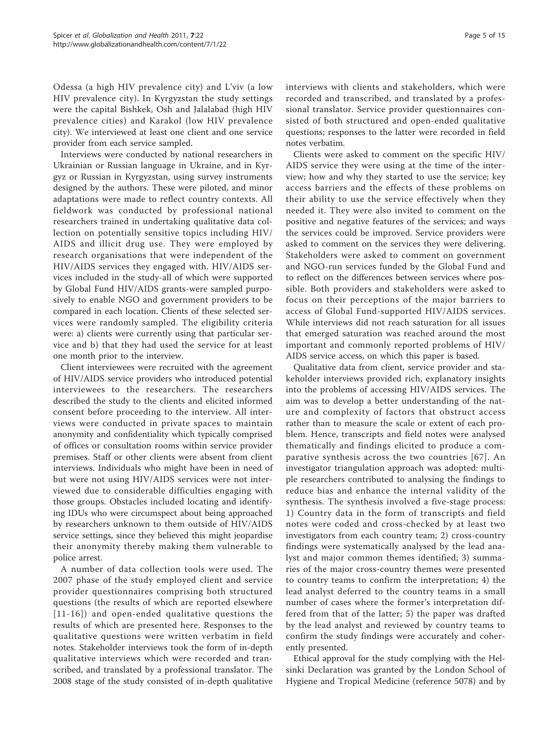Odessa (a high HIV prevalence city) and L'viv (a low HIV prevalence city). In Kyrgyzstan the study settings were the capital Bishkek, Osh and Jalalabad (high HIV prevalence cities) and Karakol (low HIV prevalence city). We interviewed at least one client and one service provider from each service sampled.

Interviews were conducted by national researchers in Ukrainian or Russian language in Ukraine, and in Kyrgyz or Russian in Kyrgyzstan, using survey instruments designed by the authors. These were piloted, and minor adaptations were made to reflect country contexts. All fieldwork was conducted by professional national researchers trained in undertaking qualitative data collection on potentially sensitive topics including HIV/ AIDS and illicit drug use. They were employed by research organisations that were independent of the HIV/AIDS services they engaged with. HIV/AIDS services included in the study-all of which were supported by Global Fund HIV/AIDS grants-were sampled purposively to enable NGO and government providers to be compared in each location. Clients of these selected services were randomly sampled. The eligibility criteria were: a) clients were currently using that particular service and b) that they had used the service for at least one month prior to the interview.

Client interviewees were recruited with the agreement of HIV/AIDS service providers who introduced potential interviewees to the researchers. The researchers described the study to the clients and elicited informed consent before proceeding to the interview. All interviews were conducted in private spaces to maintain anonymity and confidentiality which typically comprised of offices or consultation rooms within service provider premises. Staff or other clients were absent from client interviews. Individuals who might have been in need of but were not using HIV/AIDS services were not interviewed due to considerable difficulties engaging with those groups. Obstacles included locating and identifying IDUs who were circumspect about being approached by researchers unknown to them outside of HIV/AIDS service settings, since they believed this might jeopardise their anonymity thereby making them vulnerable to police arrest.

A number of data collection tools were used. The 2007 phase of the study employed client and service provider questionnaires comprising both structured questions (the results of which are reported elsewhere [[11](#page-12-0)-[16\]](#page-13-0)) and open-ended qualitative questions the results of which are presented here. Responses to the qualitative questions were written verbatim in field notes. Stakeholder interviews took the form of in-depth qualitative interviews which were recorded and transcribed, and translated by a professional translator. The 2008 stage of the study consisted of in-depth qualitative interviews with clients and stakeholders, which were recorded and transcribed, and translated by a professional translator. Service provider questionnaires consisted of both structured and open-ended qualitative questions; responses to the latter were recorded in field notes verbatim.

Clients were asked to comment on the specific HIV/ AIDS service they were using at the time of the interview; how and why they started to use the service; key access barriers and the effects of these problems on their ability to use the service effectively when they needed it. They were also invited to comment on the positive and negative features of the services; and ways the services could be improved. Service providers were asked to comment on the services they were delivering. Stakeholders were asked to comment on government and NGO-run services funded by the Global Fund and to reflect on the differences between services where possible. Both providers and stakeholders were asked to focus on their perceptions of the major barriers to access of Global Fund-supported HIV/AIDS services. While interviews did not reach saturation for all issues that emerged saturation was reached around the most important and commonly reported problems of HIV/ AIDS service access, on which this paper is based.

Qualitative data from client, service provider and stakeholder interviews provided rich, explanatory insights into the problems of accessing HIV/AIDS services. The aim was to develop a better understanding of the nature and complexity of factors that obstruct access rather than to measure the scale or extent of each problem. Hence, transcripts and field notes were analysed thematically and findings elicited to produce a comparative synthesis across the two countries [\[67](#page-13-0)]. An investigator triangulation approach was adopted: multiple researchers contributed to analysing the findings to reduce bias and enhance the internal validity of the synthesis. The synthesis involved a five-stage process: 1) Country data in the form of transcripts and field notes were coded and cross-checked by at least two investigators from each country team; 2) cross-country findings were systematically analysed by the lead analyst and major common themes identified; 3) summaries of the major cross-country themes were presented to country teams to confirm the interpretation; 4) the lead analyst deferred to the country teams in a small number of cases where the former's interpretation differed from that of the latter; 5) the paper was drafted by the lead analyst and reviewed by country teams to confirm the study findings were accurately and coherently presented.

Ethical approval for the study complying with the Helsinki Declaration was granted by the London School of Hygiene and Tropical Medicine (reference 5078) and by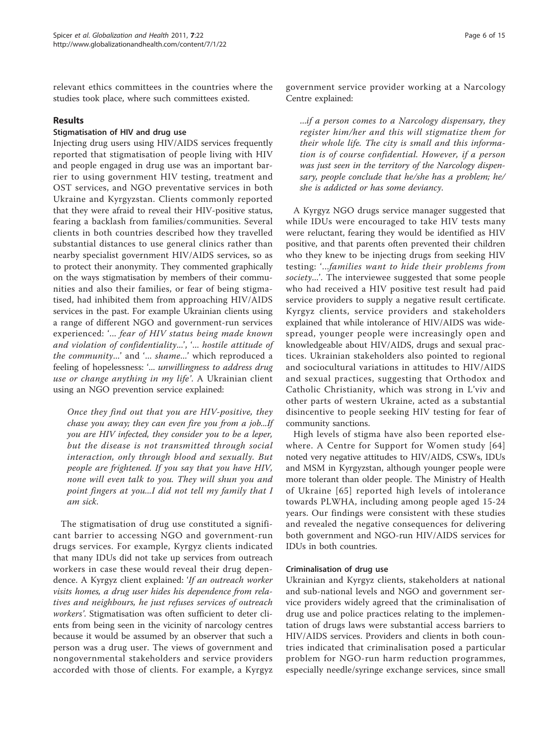relevant ethics committees in the countries where the studies took place, where such committees existed.

### Results

### Stigmatisation of HIV and drug use

Injecting drug users using HIV/AIDS services frequently reported that stigmatisation of people living with HIV and people engaged in drug use was an important barrier to using government HIV testing, treatment and OST services, and NGO preventative services in both Ukraine and Kyrgyzstan. Clients commonly reported that they were afraid to reveal their HIV-positive status, fearing a backlash from families/communities. Several clients in both countries described how they travelled substantial distances to use general clinics rather than nearby specialist government HIV/AIDS services, so as to protect their anonymity. They commented graphically on the ways stigmatisation by members of their communities and also their families, or fear of being stigmatised, had inhibited them from approaching HIV/AIDS services in the past. For example Ukrainian clients using a range of different NGO and government-run services experienced: '... fear of HIV status being made known and violation of confidentiality...', '... hostile attitude of the community...' and '... shame...' which reproduced a feeling of hopelessness: '... unwillingness to address drug use or change anything in my life'. A Ukrainian client using an NGO prevention service explained:

Once they find out that you are HIV-positive, they chase you away; they can even fire you from a job...If you are HIV infected, they consider you to be a leper, but the disease is not transmitted through social interaction, only through blood and sexually. But people are frightened. If you say that you have HIV, none will even talk to you. They will shun you and point fingers at you...I did not tell my family that I am sick.

The stigmatisation of drug use constituted a significant barrier to accessing NGO and government-run drugs services. For example, Kyrgyz clients indicated that many IDUs did not take up services from outreach workers in case these would reveal their drug dependence. A Kyrgyz client explained: 'If an outreach worker visits homes, a drug user hides his dependence from relatives and neighbours, he just refuses services of outreach workers'. Stigmatisation was often sufficient to deter clients from being seen in the vicinity of narcology centres because it would be assumed by an observer that such a person was a drug user. The views of government and nongovernmental stakeholders and service providers accorded with those of clients. For example, a Kyrgyz

government service provider working at a Narcology Centre explained:

...if a person comes to a Narcology dispensary, they register him/her and this will stigmatize them for their whole life. The city is small and this information is of course confidential. However, if a person was just seen in the territory of the Narcology dispensary, people conclude that he/she has a problem; he/ she is addicted or has some deviancy.

A Kyrgyz NGO drugs service manager suggested that while IDUs were encouraged to take HIV tests many were reluctant, fearing they would be identified as HIV positive, and that parents often prevented their children who they knew to be injecting drugs from seeking HIV testing: '...families want to hide their problems from society...'. The interviewee suggested that some people who had received a HIV positive test result had paid service providers to supply a negative result certificate. Kyrgyz clients, service providers and stakeholders explained that while intolerance of HIV/AIDS was widespread, younger people were increasingly open and knowledgeable about HIV/AIDS, drugs and sexual practices. Ukrainian stakeholders also pointed to regional and sociocultural variations in attitudes to HIV/AIDS and sexual practices, suggesting that Orthodox and Catholic Christianity, which was strong in L'viv and other parts of western Ukraine, acted as a substantial disincentive to people seeking HIV testing for fear of community sanctions.

High levels of stigma have also been reported elsewhere. A Centre for Support for Women study [[64](#page-13-0)] noted very negative attitudes to HIV/AIDS, CSWs, IDUs and MSM in Kyrgyzstan, although younger people were more tolerant than older people. The Ministry of Health of Ukraine [[65](#page-13-0)] reported high levels of intolerance towards PLWHA, including among people aged 15-24 years. Our findings were consistent with these studies and revealed the negative consequences for delivering both government and NGO-run HIV/AIDS services for IDUs in both countries.

### Criminalisation of drug use

Ukrainian and Kyrgyz clients, stakeholders at national and sub-national levels and NGO and government service providers widely agreed that the criminalisation of drug use and police practices relating to the implementation of drugs laws were substantial access barriers to HIV/AIDS services. Providers and clients in both countries indicated that criminalisation posed a particular problem for NGO-run harm reduction programmes, especially needle/syringe exchange services, since small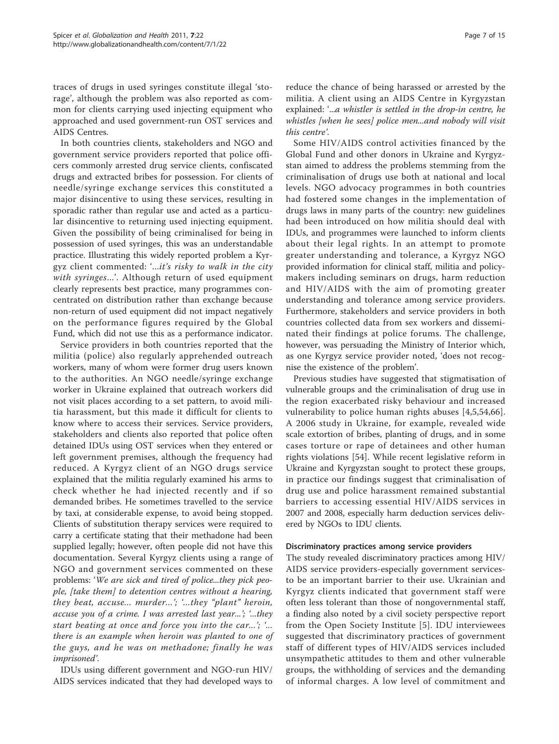traces of drugs in used syringes constitute illegal 'storage', although the problem was also reported as common for clients carrying used injecting equipment who approached and used government-run OST services and AIDS Centres.

In both countries clients, stakeholders and NGO and government service providers reported that police officers commonly arrested drug service clients, confiscated drugs and extracted bribes for possession. For clients of needle/syringe exchange services this constituted a major disincentive to using these services, resulting in sporadic rather than regular use and acted as a particular disincentive to returning used injecting equipment. Given the possibility of being criminalised for being in possession of used syringes, this was an understandable practice. Illustrating this widely reported problem a Kyrgyz client commented: '...it's risky to walk in the city with syringes...'. Although return of used equipment clearly represents best practice, many programmes concentrated on distribution rather than exchange because non-return of used equipment did not impact negatively on the performance figures required by the Global Fund, which did not use this as a performance indicator.

Service providers in both countries reported that the militia (police) also regularly apprehended outreach workers, many of whom were former drug users known to the authorities. An NGO needle/syringe exchange worker in Ukraine explained that outreach workers did not visit places according to a set pattern, to avoid militia harassment, but this made it difficult for clients to know where to access their services. Service providers, stakeholders and clients also reported that police often detained IDUs using OST services when they entered or left government premises, although the frequency had reduced. A Kyrgyz client of an NGO drugs service explained that the militia regularly examined his arms to check whether he had injected recently and if so demanded bribes. He sometimes travelled to the service by taxi, at considerable expense, to avoid being stopped. Clients of substitution therapy services were required to carry a certificate stating that their methadone had been supplied legally; however, often people did not have this documentation. Several Kyrgyz clients using a range of NGO and government services commented on these problems: 'We are sick and tired of police...they pick people, [take them] to detention centres without a hearing, they beat, accuse... murder...'; '...they "plant" heroin, accuse you of a crime. I was arrested last year...'; '...they start beating at once and force you into the car...'; '... there is an example when heroin was planted to one of the guys, and he was on methadone; finally he was imprisoned'.

IDUs using different government and NGO-run HIV/ AIDS services indicated that they had developed ways to reduce the chance of being harassed or arrested by the militia. A client using an AIDS Centre in Kyrgyzstan explained: '...a whistler is settled in the drop-in centre, he whistles [when he sees] police men...and nobody will visit this centre'.

Some HIV/AIDS control activities financed by the Global Fund and other donors in Ukraine and Kyrgyzstan aimed to address the problems stemming from the criminalisation of drugs use both at national and local levels. NGO advocacy programmes in both countries had fostered some changes in the implementation of drugs laws in many parts of the country: new guidelines had been introduced on how militia should deal with IDUs, and programmes were launched to inform clients about their legal rights. In an attempt to promote greater understanding and tolerance, a Kyrgyz NGO provided information for clinical staff, militia and policymakers including seminars on drugs, harm reduction and HIV/AIDS with the aim of promoting greater understanding and tolerance among service providers. Furthermore, stakeholders and service providers in both countries collected data from sex workers and disseminated their findings at police forums. The challenge, however, was persuading the Ministry of Interior which, as one Kyrgyz service provider noted, 'does not recognise the existence of the problem'.

Previous studies have suggested that stigmatisation of vulnerable groups and the criminalisation of drug use in the region exacerbated risky behaviour and increased vulnerability to police human rights abuses [[4,5](#page-12-0),[54,66](#page-13-0)]. A 2006 study in Ukraine, for example, revealed wide scale extortion of bribes, planting of drugs, and in some cases torture or rape of detainees and other human rights violations [\[54](#page-13-0)]. While recent legislative reform in Ukraine and Kyrgyzstan sought to protect these groups, in practice our findings suggest that criminalisation of drug use and police harassment remained substantial barriers to accessing essential HIV/AIDS services in 2007 and 2008, especially harm deduction services delivered by NGOs to IDU clients.

#### Discriminatory practices among service providers

The study revealed discriminatory practices among HIV/ AIDS service providers-especially government servicesto be an important barrier to their use. Ukrainian and Kyrgyz clients indicated that government staff were often less tolerant than those of nongovernmental staff, a finding also noted by a civil society perspective report from the Open Society Institute [[5](#page-12-0)]. IDU interviewees suggested that discriminatory practices of government staff of different types of HIV/AIDS services included unsympathetic attitudes to them and other vulnerable groups, the withholding of services and the demanding of informal charges. A low level of commitment and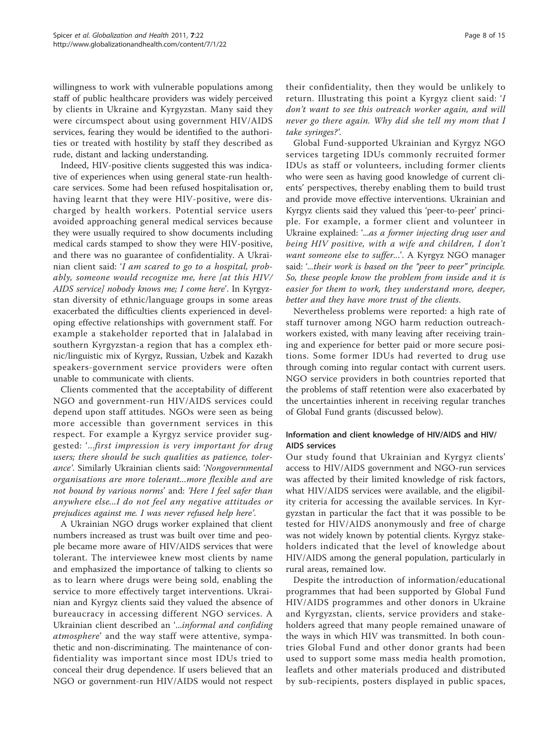willingness to work with vulnerable populations among staff of public healthcare providers was widely perceived by clients in Ukraine and Kyrgyzstan. Many said they were circumspect about using government HIV/AIDS services, fearing they would be identified to the authorities or treated with hostility by staff they described as rude, distant and lacking understanding.

Indeed, HIV-positive clients suggested this was indicative of experiences when using general state-run healthcare services. Some had been refused hospitalisation or, having learnt that they were HIV-positive, were discharged by health workers. Potential service users avoided approaching general medical services because they were usually required to show documents including medical cards stamped to show they were HIV-positive, and there was no guarantee of confidentiality. A Ukrainian client said: 'I am scared to go to a hospital, probably, someone would recognize me, here [at this HIV/ AIDS service] nobody knows me; I come here'. In Kyrgyzstan diversity of ethnic/language groups in some areas exacerbated the difficulties clients experienced in developing effective relationships with government staff. For example a stakeholder reported that in Jalalabad in southern Kyrgyzstan-a region that has a complex ethnic/linguistic mix of Kyrgyz, Russian, Uzbek and Kazakh speakers-government service providers were often unable to communicate with clients.

Clients commented that the acceptability of different NGO and government-run HIV/AIDS services could depend upon staff attitudes. NGOs were seen as being more accessible than government services in this respect. For example a Kyrgyz service provider suggested: '...first impression is very important for drug users; there should be such qualities as patience, tolerance'. Similarly Ukrainian clients said: 'Nongovernmental organisations are more tolerant...more flexible and are not bound by various norms' and: 'Here I feel safer than anywhere else...I do not feel any negative attitudes or prejudices against me. I was never refused help here'.

A Ukrainian NGO drugs worker explained that client numbers increased as trust was built over time and people became more aware of HIV/AIDS services that were tolerant. The interviewee knew most clients by name and emphasized the importance of talking to clients so as to learn where drugs were being sold, enabling the service to more effectively target interventions. Ukrainian and Kyrgyz clients said they valued the absence of bureaucracy in accessing different NGO services. A Ukrainian client described an '...informal and confiding atmosphere' and the way staff were attentive, sympathetic and non-discriminating. The maintenance of confidentiality was important since most IDUs tried to conceal their drug dependence. If users believed that an NGO or government-run HIV/AIDS would not respect their confidentiality, then they would be unlikely to return. Illustrating this point a Kyrgyz client said: 'I don't want to see this outreach worker again, and will never go there again. Why did she tell my mom that I take syringes?'.

Global Fund-supported Ukrainian and Kyrgyz NGO services targeting IDUs commonly recruited former IDUs as staff or volunteers, including former clients who were seen as having good knowledge of current clients' perspectives, thereby enabling them to build trust and provide move effective interventions. Ukrainian and Kyrgyz clients said they valued this 'peer-to-peer' principle. For example, a former client and volunteer in Ukraine explained: '...as a former injecting drug user and being HIV positive, with a wife and children, I don't want someone else to suffer...'. A Kyrgyz NGO manager said: "...their work is based on the "peer to peer" principle. So, these people know the problem from inside and it is easier for them to work, they understand more, deeper, better and they have more trust of the clients.

Nevertheless problems were reported: a high rate of staff turnover among NGO harm reduction outreachworkers existed, with many leaving after receiving training and experience for better paid or more secure positions. Some former IDUs had reverted to drug use through coming into regular contact with current users. NGO service providers in both countries reported that the problems of staff retention were also exacerbated by the uncertainties inherent in receiving regular tranches of Global Fund grants (discussed below).

# Information and client knowledge of HIV/AIDS and HIV/ AIDS services

Our study found that Ukrainian and Kyrgyz clients' access to HIV/AIDS government and NGO-run services was affected by their limited knowledge of risk factors, what HIV/AIDS services were available, and the eligibility criteria for accessing the available services. In Kyrgyzstan in particular the fact that it was possible to be tested for HIV/AIDS anonymously and free of charge was not widely known by potential clients. Kyrgyz stakeholders indicated that the level of knowledge about HIV/AIDS among the general population, particularly in rural areas, remained low.

Despite the introduction of information/educational programmes that had been supported by Global Fund HIV/AIDS programmes and other donors in Ukraine and Kyrgyzstan, clients, service providers and stakeholders agreed that many people remained unaware of the ways in which HIV was transmitted. In both countries Global Fund and other donor grants had been used to support some mass media health promotion, leaflets and other materials produced and distributed by sub-recipients, posters displayed in public spaces,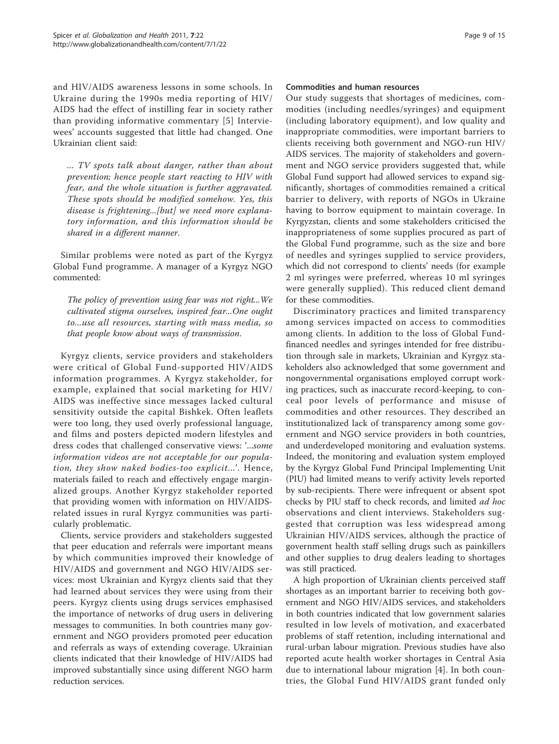and HIV/AIDS awareness lessons in some schools. In Ukraine during the 1990s media reporting of HIV/ AIDS had the effect of instilling fear in society rather than providing informative commentary [[5\]](#page-12-0) Interviewees' accounts suggested that little had changed. One Ukrainian client said:

... TV spots talk about danger, rather than about prevention; hence people start reacting to HIV with fear, and the whole situation is further aggravated. These spots should be modified somehow. Yes, this disease is frightening...[but] we need more explanatory information, and this information should be shared in a different manner.

Similar problems were noted as part of the Kyrgyz Global Fund programme. A manager of a Kyrgyz NGO commented:

The policy of prevention using fear was not right...We cultivated stigma ourselves, inspired fear...One ought to...use all resources, starting with mass media, so that people know about ways of transmission.

Kyrgyz clients, service providers and stakeholders were critical of Global Fund-supported HIV/AIDS information programmes. A Kyrgyz stakeholder, for example, explained that social marketing for HIV/ AIDS was ineffective since messages lacked cultural sensitivity outside the capital Bishkek. Often leaflets were too long, they used overly professional language, and films and posters depicted modern lifestyles and dress codes that challenged conservative views: '...some information videos are not acceptable for our population, they show naked bodies-too explicit...'. Hence, materials failed to reach and effectively engage marginalized groups. Another Kyrgyz stakeholder reported that providing women with information on HIV/AIDSrelated issues in rural Kyrgyz communities was particularly problematic.

Clients, service providers and stakeholders suggested that peer education and referrals were important means by which communities improved their knowledge of HIV/AIDS and government and NGO HIV/AIDS services: most Ukrainian and Kyrgyz clients said that they had learned about services they were using from their peers. Kyrgyz clients using drugs services emphasised the importance of networks of drug users in delivering messages to communities. In both countries many government and NGO providers promoted peer education and referrals as ways of extending coverage. Ukrainian clients indicated that their knowledge of HIV/AIDS had improved substantially since using different NGO harm reduction services.

#### Commodities and human resources

Our study suggests that shortages of medicines, commodities (including needles/syringes) and equipment (including laboratory equipment), and low quality and inappropriate commodities, were important barriers to clients receiving both government and NGO-run HIV/ AIDS services. The majority of stakeholders and government and NGO service providers suggested that, while Global Fund support had allowed services to expand significantly, shortages of commodities remained a critical barrier to delivery, with reports of NGOs in Ukraine having to borrow equipment to maintain coverage. In Kyrgyzstan, clients and some stakeholders criticised the inappropriateness of some supplies procured as part of the Global Fund programme, such as the size and bore of needles and syringes supplied to service providers, which did not correspond to clients' needs (for example 2 ml syringes were preferred, whereas 10 ml syringes were generally supplied). This reduced client demand for these commodities.

Discriminatory practices and limited transparency among services impacted on access to commodities among clients. In addition to the loss of Global Fundfinanced needles and syringes intended for free distribution through sale in markets, Ukrainian and Kyrgyz stakeholders also acknowledged that some government and nongovernmental organisations employed corrupt working practices, such as inaccurate record-keeping, to conceal poor levels of performance and misuse of commodities and other resources. They described an institutionalized lack of transparency among some government and NGO service providers in both countries, and underdeveloped monitoring and evaluation systems. Indeed, the monitoring and evaluation system employed by the Kyrgyz Global Fund Principal Implementing Unit (PIU) had limited means to verify activity levels reported by sub-recipients. There were infrequent or absent spot checks by PIU staff to check records, and limited ad hoc observations and client interviews. Stakeholders suggested that corruption was less widespread among Ukrainian HIV/AIDS services, although the practice of government health staff selling drugs such as painkillers and other supplies to drug dealers leading to shortages was still practiced.

A high proportion of Ukrainian clients perceived staff shortages as an important barrier to receiving both government and NGO HIV/AIDS services, and stakeholders in both countries indicated that low government salaries resulted in low levels of motivation, and exacerbated problems of staff retention, including international and rural-urban labour migration. Previous studies have also reported acute health worker shortages in Central Asia due to international labour migration [[4\]](#page-12-0). In both countries, the Global Fund HIV/AIDS grant funded only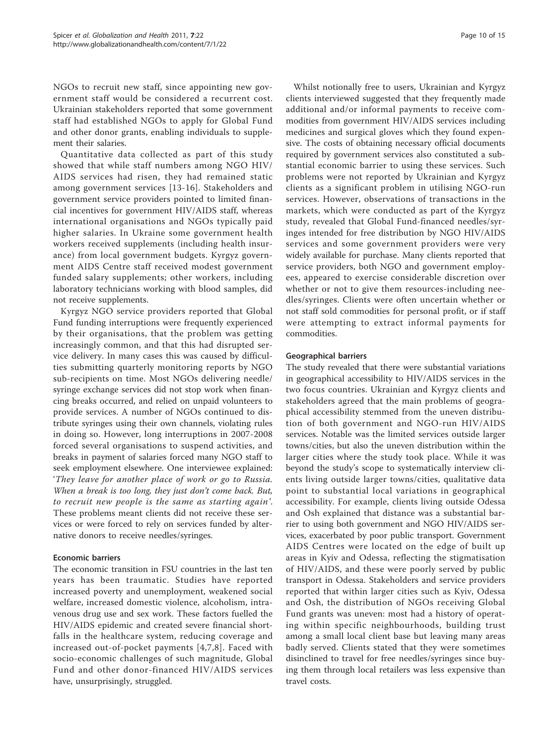NGOs to recruit new staff, since appointing new government staff would be considered a recurrent cost. Ukrainian stakeholders reported that some government staff had established NGOs to apply for Global Fund and other donor grants, enabling individuals to supplement their salaries.

Quantitative data collected as part of this study showed that while staff numbers among NGO HIV/ AIDS services had risen, they had remained static among government services [[13-16\]](#page-13-0). Stakeholders and government service providers pointed to limited financial incentives for government HIV/AIDS staff, whereas international organisations and NGOs typically paid higher salaries. In Ukraine some government health workers received supplements (including health insurance) from local government budgets. Kyrgyz government AIDS Centre staff received modest government funded salary supplements; other workers, including laboratory technicians working with blood samples, did not receive supplements.

Kyrgyz NGO service providers reported that Global Fund funding interruptions were frequently experienced by their organisations, that the problem was getting increasingly common, and that this had disrupted service delivery. In many cases this was caused by difficulties submitting quarterly monitoring reports by NGO sub-recipients on time. Most NGOs delivering needle/ syringe exchange services did not stop work when financing breaks occurred, and relied on unpaid volunteers to provide services. A number of NGOs continued to distribute syringes using their own channels, violating rules in doing so. However, long interruptions in 2007-2008 forced several organisations to suspend activities, and breaks in payment of salaries forced many NGO staff to seek employment elsewhere. One interviewee explained: 'They leave for another place of work or go to Russia. When a break is too long, they just don't come back. But, to recruit new people is the same as starting again'. These problems meant clients did not receive these services or were forced to rely on services funded by alternative donors to receive needles/syringes.

# Economic barriers

The economic transition in FSU countries in the last ten years has been traumatic. Studies have reported increased poverty and unemployment, weakened social welfare, increased domestic violence, alcoholism, intravenous drug use and sex work. These factors fuelled the HIV/AIDS epidemic and created severe financial shortfalls in the healthcare system, reducing coverage and increased out-of-pocket payments [[4](#page-12-0),[7,8\]](#page-12-0). Faced with socio-economic challenges of such magnitude, Global Fund and other donor-financed HIV/AIDS services have, unsurprisingly, struggled.

Whilst notionally free to users, Ukrainian and Kyrgyz clients interviewed suggested that they frequently made additional and/or informal payments to receive commodities from government HIV/AIDS services including medicines and surgical gloves which they found expensive. The costs of obtaining necessary official documents required by government services also constituted a substantial economic barrier to using these services. Such problems were not reported by Ukrainian and Kyrgyz clients as a significant problem in utilising NGO-run services. However, observations of transactions in the markets, which were conducted as part of the Kyrgyz study, revealed that Global Fund-financed needles/syringes intended for free distribution by NGO HIV/AIDS services and some government providers were very widely available for purchase. Many clients reported that service providers, both NGO and government employees, appeared to exercise considerable discretion over whether or not to give them resources-including needles/syringes. Clients were often uncertain whether or not staff sold commodities for personal profit, or if staff were attempting to extract informal payments for commodities.

# Geographical barriers

The study revealed that there were substantial variations in geographical accessibility to HIV/AIDS services in the two focus countries. Ukrainian and Kyrgyz clients and stakeholders agreed that the main problems of geographical accessibility stemmed from the uneven distribution of both government and NGO-run HIV/AIDS services. Notable was the limited services outside larger towns/cities, but also the uneven distribution within the larger cities where the study took place. While it was beyond the study's scope to systematically interview clients living outside larger towns/cities, qualitative data point to substantial local variations in geographical accessibility. For example, clients living outside Odessa and Osh explained that distance was a substantial barrier to using both government and NGO HIV/AIDS services, exacerbated by poor public transport. Government AIDS Centres were located on the edge of built up areas in Kyiv and Odessa, reflecting the stigmatisation of HIV/AIDS, and these were poorly served by public transport in Odessa. Stakeholders and service providers reported that within larger cities such as Kyiv, Odessa and Osh, the distribution of NGOs receiving Global Fund grants was uneven: most had a history of operating within specific neighbourhoods, building trust among a small local client base but leaving many areas badly served. Clients stated that they were sometimes disinclined to travel for free needles/syringes since buying them through local retailers was less expensive than travel costs.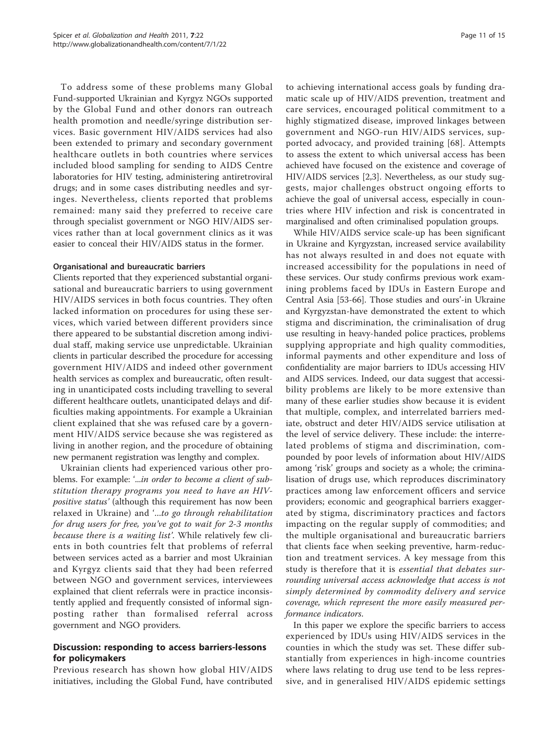To address some of these problems many Global Fund-supported Ukrainian and Kyrgyz NGOs supported by the Global Fund and other donors ran outreach health promotion and needle/syringe distribution services. Basic government HIV/AIDS services had also been extended to primary and secondary government healthcare outlets in both countries where services included blood sampling for sending to AIDS Centre laboratories for HIV testing, administering antiretroviral drugs; and in some cases distributing needles and syringes. Nevertheless, clients reported that problems remained: many said they preferred to receive care through specialist government or NGO HIV/AIDS services rather than at local government clinics as it was easier to conceal their HIV/AIDS status in the former.

### Organisational and bureaucratic barriers

Clients reported that they experienced substantial organisational and bureaucratic barriers to using government HIV/AIDS services in both focus countries. They often lacked information on procedures for using these services, which varied between different providers since there appeared to be substantial discretion among individual staff, making service use unpredictable. Ukrainian clients in particular described the procedure for accessing government HIV/AIDS and indeed other government health services as complex and bureaucratic, often resulting in unanticipated costs including travelling to several different healthcare outlets, unanticipated delays and difficulties making appointments. For example a Ukrainian client explained that she was refused care by a government HIV/AIDS service because she was registered as living in another region, and the procedure of obtaining new permanent registration was lengthy and complex.

Ukrainian clients had experienced various other problems. For example: '...in order to become a client of substitution therapy programs you need to have an HIVpositive status' (although this requirement has now been relaxed in Ukraine) and '...to go through rehabilitation for drug users for free, you've got to wait for 2-3 months because there is a waiting list'. While relatively few clients in both countries felt that problems of referral between services acted as a barrier and most Ukrainian and Kyrgyz clients said that they had been referred between NGO and government services, interviewees explained that client referrals were in practice inconsistently applied and frequently consisted of informal signposting rather than formalised referral across government and NGO providers.

# Discussion: responding to access barriers-lessons for policymakers

Previous research has shown how global HIV/AIDS initiatives, including the Global Fund, have contributed

to achieving international access goals by funding dramatic scale up of HIV/AIDS prevention, treatment and care services, encouraged political commitment to a highly stigmatized disease, improved linkages between government and NGO-run HIV/AIDS services, supported advocacy, and provided training [[68](#page-13-0)]. Attempts to assess the extent to which universal access has been achieved have focused on the existence and coverage of HIV/AIDS services [\[2,3](#page-12-0)]. Nevertheless, as our study suggests, major challenges obstruct ongoing efforts to achieve the goal of universal access, especially in countries where HIV infection and risk is concentrated in marginalised and often criminalised population groups.

While HIV/AIDS service scale-up has been significant in Ukraine and Kyrgyzstan, increased service availability has not always resulted in and does not equate with increased accessibility for the populations in need of these services. Our study confirms previous work examining problems faced by IDUs in Eastern Europe and Central Asia [\[53-66](#page-13-0)]. Those studies and ours'-in Ukraine and Kyrgyzstan-have demonstrated the extent to which stigma and discrimination, the criminalisation of drug use resulting in heavy-handed police practices, problems supplying appropriate and high quality commodities, informal payments and other expenditure and loss of confidentiality are major barriers to IDUs accessing HIV and AIDS services. Indeed, our data suggest that accessibility problems are likely to be more extensive than many of these earlier studies show because it is evident that multiple, complex, and interrelated barriers mediate, obstruct and deter HIV/AIDS service utilisation at the level of service delivery. These include: the interrelated problems of stigma and discrimination, compounded by poor levels of information about HIV/AIDS among 'risk' groups and society as a whole; the criminalisation of drugs use, which reproduces discriminatory practices among law enforcement officers and service providers; economic and geographical barriers exaggerated by stigma, discriminatory practices and factors impacting on the regular supply of commodities; and the multiple organisational and bureaucratic barriers that clients face when seeking preventive, harm-reduction and treatment services. A key message from this study is therefore that it is essential that debates surrounding universal access acknowledge that access is not simply determined by commodity delivery and service coverage, which represent the more easily measured performance indicators.

In this paper we explore the specific barriers to access experienced by IDUs using HIV/AIDS services in the counties in which the study was set. These differ substantially from experiences in high-income countries where laws relating to drug use tend to be less repressive, and in generalised HIV/AIDS epidemic settings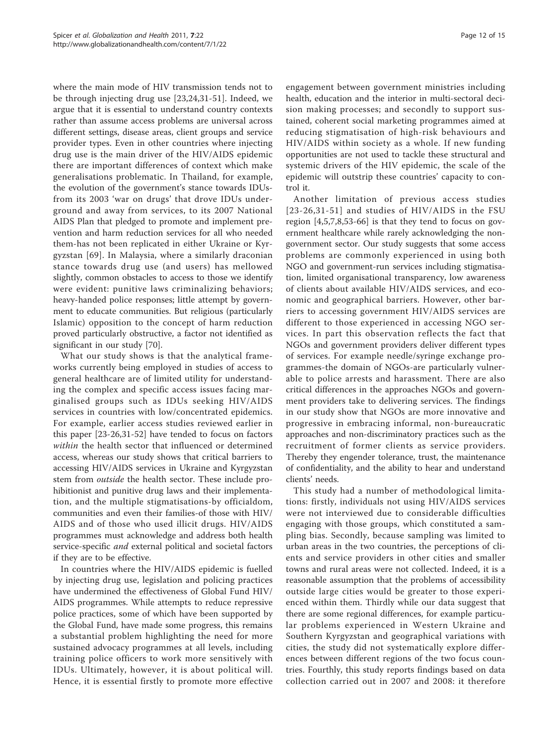where the main mode of HIV transmission tends not to be through injecting drug use [\[23](#page-13-0),[24,31-51](#page-13-0)]. Indeed, we argue that it is essential to understand country contexts rather than assume access problems are universal across different settings, disease areas, client groups and service provider types. Even in other countries where injecting drug use is the main driver of the HIV/AIDS epidemic there are important differences of context which make generalisations problematic. In Thailand, for example, the evolution of the government's stance towards IDUsfrom its 2003 'war on drugs' that drove IDUs underground and away from services, to its 2007 National AIDS Plan that pledged to promote and implement prevention and harm reduction services for all who needed them-has not been replicated in either Ukraine or Kyrgyzstan [\[69\]](#page-13-0). In Malaysia, where a similarly draconian stance towards drug use (and users) has mellowed slightly, common obstacles to access to those we identify were evident: punitive laws criminalizing behaviors; heavy-handed police responses; little attempt by government to educate communities. But religious (particularly Islamic) opposition to the concept of harm reduction proved particularly obstructive, a factor not identified as significant in our study [\[70\]](#page-14-0).

What our study shows is that the analytical frameworks currently being employed in studies of access to general healthcare are of limited utility for understanding the complex and specific access issues facing marginalised groups such as IDUs seeking HIV/AIDS services in countries with low/concentrated epidemics. For example, earlier access studies reviewed earlier in this paper [\[23](#page-13-0)-[26,31-52](#page-13-0)] have tended to focus on factors within the health sector that influenced or determined access, whereas our study shows that critical barriers to accessing HIV/AIDS services in Ukraine and Kyrgyzstan stem from *outside* the health sector. These include prohibitionist and punitive drug laws and their implementation, and the multiple stigmatisations-by officialdom, communities and even their families-of those with HIV/ AIDS and of those who used illicit drugs. HIV/AIDS programmes must acknowledge and address both health service-specific and external political and societal factors if they are to be effective.

In countries where the HIV/AIDS epidemic is fuelled by injecting drug use, legislation and policing practices have undermined the effectiveness of Global Fund HIV/ AIDS programmes. While attempts to reduce repressive police practices, some of which have been supported by the Global Fund, have made some progress, this remains a substantial problem highlighting the need for more sustained advocacy programmes at all levels, including training police officers to work more sensitively with IDUs. Ultimately, however, it is about political will. Hence, it is essential firstly to promote more effective engagement between government ministries including health, education and the interior in multi-sectoral decision making processes; and secondly to support sustained, coherent social marketing programmes aimed at reducing stigmatisation of high-risk behaviours and HIV/AIDS within society as a whole. If new funding opportunities are not used to tackle these structural and systemic drivers of the HIV epidemic, the scale of the epidemic will outstrip these countries' capacity to control it.

Another limitation of previous access studies [[23](#page-13-0)-[26,31](#page-13-0)-[51\]](#page-13-0) and studies of HIV/AIDS in the FSU region [[4,5,7,8](#page-12-0),[53-66](#page-13-0)] is that they tend to focus on government healthcare while rarely acknowledging the nongovernment sector. Our study suggests that some access problems are commonly experienced in using both NGO and government-run services including stigmatisation, limited organisational transparency, low awareness of clients about available HIV/AIDS services, and economic and geographical barriers. However, other barriers to accessing government HIV/AIDS services are different to those experienced in accessing NGO services. In part this observation reflects the fact that NGOs and government providers deliver different types of services. For example needle/syringe exchange programmes-the domain of NGOs-are particularly vulnerable to police arrests and harassment. There are also critical differences in the approaches NGOs and government providers take to delivering services. The findings in our study show that NGOs are more innovative and progressive in embracing informal, non-bureaucratic approaches and non-discriminatory practices such as the recruitment of former clients as service providers. Thereby they engender tolerance, trust, the maintenance of confidentiality, and the ability to hear and understand clients' needs.

This study had a number of methodological limitations: firstly, individuals not using HIV/AIDS services were not interviewed due to considerable difficulties engaging with those groups, which constituted a sampling bias. Secondly, because sampling was limited to urban areas in the two countries, the perceptions of clients and service providers in other cities and smaller towns and rural areas were not collected. Indeed, it is a reasonable assumption that the problems of accessibility outside large cities would be greater to those experienced within them. Thirdly while our data suggest that there are some regional differences, for example particular problems experienced in Western Ukraine and Southern Kyrgyzstan and geographical variations with cities, the study did not systematically explore differences between different regions of the two focus countries. Fourthly, this study reports findings based on data collection carried out in 2007 and 2008: it therefore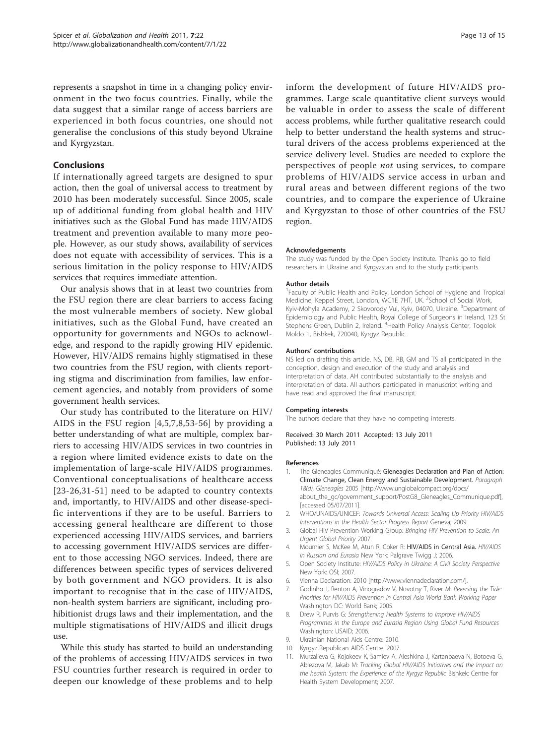<span id="page-12-0"></span>represents a snapshot in time in a changing policy environment in the two focus countries. Finally, while the data suggest that a similar range of access barriers are experienced in both focus countries, one should not generalise the conclusions of this study beyond Ukraine and Kyrgyzstan.

### Conclusions

If internationally agreed targets are designed to spur action, then the goal of universal access to treatment by 2010 has been moderately successful. Since 2005, scale up of additional funding from global health and HIV initiatives such as the Global Fund has made HIV/AIDS treatment and prevention available to many more people. However, as our study shows, availability of services does not equate with accessibility of services. This is a serious limitation in the policy response to HIV/AIDS services that requires immediate attention.

Our analysis shows that in at least two countries from the FSU region there are clear barriers to access facing the most vulnerable members of society. New global initiatives, such as the Global Fund, have created an opportunity for governments and NGOs to acknowledge, and respond to the rapidly growing HIV epidemic. However, HIV/AIDS remains highly stigmatised in these two countries from the FSU region, with clients reporting stigma and discrimination from families, law enforcement agencies, and notably from providers of some government health services.

Our study has contributed to the literature on HIV/ AIDS in the FSU region [4,5,7,8[,53-56\]](#page-13-0) by providing a better understanding of what are multiple, complex barriers to accessing HIV/AIDS services in two countries in a region where limited evidence exists to date on the implementation of large-scale HIV/AIDS programmes. Conventional conceptualisations of healthcare access [[23](#page-13-0)-[26,31](#page-13-0)-[51](#page-13-0)] need to be adapted to country contexts and, importantly, to HIV/AIDS and other disease-specific interventions if they are to be useful. Barriers to accessing general healthcare are different to those experienced accessing HIV/AIDS services, and barriers to accessing government HIV/AIDS services are different to those accessing NGO services. Indeed, there are differences between specific types of services delivered by both government and NGO providers. It is also important to recognise that in the case of HIV/AIDS, non-health system barriers are significant, including prohibitionist drugs laws and their implementation, and the multiple stigmatisations of HIV/AIDS and illicit drugs use.

While this study has started to build an understanding of the problems of accessing HIV/AIDS services in two FSU countries further research is required in order to deepen our knowledge of these problems and to help

inform the development of future HIV/AIDS programmes. Large scale quantitative client surveys would be valuable in order to assess the scale of different access problems, while further qualitative research could help to better understand the health systems and structural drivers of the access problems experienced at the service delivery level. Studies are needed to explore the perspectives of people not using services, to compare problems of HIV/AIDS service access in urban and rural areas and between different regions of the two countries, and to compare the experience of Ukraine and Kyrgyzstan to those of other countries of the FSU region.

#### Acknowledgements

The study was funded by the Open Society Institute. Thanks go to field researchers in Ukraine and Kyrgyzstan and to the study participants.

#### Author details

<sup>1</sup> Faculty of Public Health and Policy, London School of Hygiene and Tropical Medicine, Keppel Street, London, WC1E 7HT, UK. <sup>2</sup>School of Social Work Kyiv-Mohyla Academy, 2 Skovorody Vul, Kyiv, 04070, Ukraine. <sup>3</sup>Department of Epidemiology and Public Health, Royal College of Surgeons in Ireland, 123 St Stephens Green, Dublin 2, Ireland. <sup>4</sup> Health Policy Analysis Center, Togolok Moldo 1, Bishkek, 720040, Kyrgyz Republic.

#### Authors' contributions

NS led on drafting this article. NS, DB, RB, GM and TS all participated in the conception, design and execution of the study and analysis and interpretation of data. AH contributed substantially to the analysis and interpretation of data. All authors participated in manuscript writing and have read and approved the final manuscript.

#### Competing interests

The authors declare that they have no competing interests.

Received: 30 March 2011 Accepted: 13 July 2011 Published: 13 July 2011

#### References

- 1. The Gleneagles Communiqué: Gleneagles Declaration and Plan of Action: Climate Change, Clean Energy and Sustainable Development. Paragraph 18(d), Gleneagles 2005 [\[http://www.unglobalcompact.org/docs/](http://www.unglobalcompact.org/docs/about_the_gc/government_support/PostG8_Gleneagles_Communique.pdf) [about\\_the\\_gc/government\\_support/PostG8\\_Gleneagles\\_Communique.pdf\]](http://www.unglobalcompact.org/docs/about_the_gc/government_support/PostG8_Gleneagles_Communique.pdf), [accessed 05/07/2011].
- 2. WHO/UNAIDS/UNICEF: Towards Universal Access: Scaling Up Priority HIV/AIDS Interventions in the Health Sector Progress Report Geneva; 2009.
- 3. Global HIV Prevention Working Group: Bringing HIV Prevention to Scale: An Urgent Global Priority 2007.
- 4. Mournier S, McKee M, Atun R, Coker R: HIV/AIDS in Central Asia. HIV/AIDS in Russian and Eurasia New York: Palgrave Twigg J; 2006.
- 5. Open Society Institute: HIV/AIDS Policy in Ukraine: A Civil Society Perspective New York: OSI; 2007.
- 6. Vienna Declaration: 2010 [[http://www.viennadeclaration.com/\]](http://www.viennadeclaration.com/).
- Godinho J, Renton A, Vinogradov V, Novotny T, River M: Reversing the Tide: Priorities for HIV/AIDS Prevention in Central Asia World Bank Working Paper Washington DC: World Bank; 2005.
- 8. Drew R, Purvis G: Strengthening Health Systems to Improve HIV/AIDS Programmes in the Europe and Eurasia Region Using Global Fund Resources Washington: USAID; 2006.
- Ukrainian National Aids Centre: 2010.
- 10. Kyrgyz Republican AIDS Centre: 2007.
- 11. Murzalieva G, Kojokeev K, Samiev A, Aleshkina J, Kartanbaeva N, Botoeva G, Ablezova M, Jakab M: Tracking Global HIV/AIDS Initiatives and the Impact on the health System: the Experience of the Kyrgyz Republic Bishkek: Centre for Health System Development; 2007.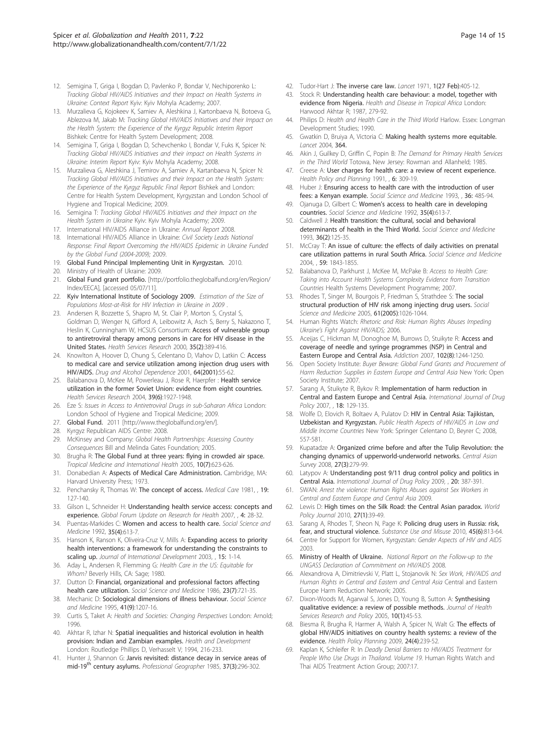- <span id="page-13-0"></span>12. Semigina T, Griga I, Bogdan D, Pavlenko P, Bondar V, Nechiporenko L: Tracking Global HIV/AIDS Initiatives and their Impact on Health Systems in Ukraine: Context Report Kyiv: Kyiv Mohyla Academy; 2007.
- 13. Murzalieva G, Kojokeev K, Samiev A, Aleshkina J, Kartonbaeva N, Botoeva G, Ablezova M, Jakab M: Tracking Global HIV/AIDS Initiatives and their Impact on the Health System: the Experience of the Kyrgyz Republic Interim Report Bishkek: Centre for Health System Development; 2008.
- 14. Semigina T, Griga I, Bogdan D, Schevchenko I, Bondar V, Fuks K, Spicer N: Tracking Global HIV/AIDS Initiatives and their impact on Health Systems in Ukraine: Interim Report Kyiv: Kyiv Mohyla Academy; 2008.
- 15. Murzalieva G, Aleshkina J, Temirov A, Samiev A, Kartanbaeva N, Spicer N: Tracking Global HIV/AIDS Initiatives and their Impact on the Health System: the Experience of the Kyrgyz Republic Final Report Bishkek and London: Centre for Health System Development, Kyrgyzstan and London School of Hygiene and Tropical Medicine; 2009.
- Semigina T: Tracking Global HIV/AIDS Initiatives and their Impact on the Health System in Ukraine Kyiv: Kyiv Mohyla Academy; 2009.
- 17. International HIV/AIDS Alliance in Ukraine: Annual Report 2008.
- 18. International HIV/AIDS Alliance in Ukraine: Civil Society Leads National Response: Final Report Overcoming the HIV/AIDS Epidemic in Ukraine Funded by the Global Fund (2004-2009); 2009.
- 19. Global Fund Principal Implementing Unit in Kyrgyzstan. 2010.
- 20. Ministry of Health of Ukraine: 2009.
- 21. Global Fund grant portfolio. [[http://portfolio.theglobalfund.org/en/Region/](http://portfolio.theglobalfund.org/en/Region/Index/EECA) [Index/EECA](http://portfolio.theglobalfund.org/en/Region/Index/EECA)], [accessed 05/07/11].
- 22. Kyiv International Institute of Sociology 2009. Estimation of the Size of Populations Most-at-Risk for HIV Infection in Ukraine in 2009 .
- 23. Andersen R, Bozzette S, Shapro M, St. Clair P, Morton S, Crystal S, Goldman D, Wenger N, Gifford A, Leibowitz A, Asch S, Berry S, Nakazono T, Heslin K, Cunningham W, HCSUS Consortium: [Access of vulnerable group](http://www.ncbi.nlm.nih.gov/pubmed/10857469?dopt=Abstract) [to antiretroviral therapy among persons in care for HIV disease in the](http://www.ncbi.nlm.nih.gov/pubmed/10857469?dopt=Abstract) [United States.](http://www.ncbi.nlm.nih.gov/pubmed/10857469?dopt=Abstract) Health Services Research 2000, 35(2):389-416.
- 24. Knowlton A, Hoover D, Chung S, Celentano D, Vlahov D, Latkin C: [Access](http://www.ncbi.nlm.nih.gov/pubmed/11470341?dopt=Abstract) [to medical care and service utilization among injection drug users with](http://www.ncbi.nlm.nih.gov/pubmed/11470341?dopt=Abstract) [HIV/AIDS.](http://www.ncbi.nlm.nih.gov/pubmed/11470341?dopt=Abstract) Drug and Alcohol Dependence 2001, 64(2001):55-62.
- 25. Balabanova D, McKee M, Powerleau J, Rose R, Haerpfer : [Health service](http://www.ncbi.nlm.nih.gov/pubmed/15544638?dopt=Abstract) [utilization in the former Soviet Union: evidence from eight countries.](http://www.ncbi.nlm.nih.gov/pubmed/15544638?dopt=Abstract) Health Services Research 2004, 39(6):1927-1948.
- 26. Eze S: Issues in Access to Antiretroviral Drugs in sub-Saharan Africa London: London School of Hygiene and Tropical Medicine; 2009.
- 27. Global Fund. 2011 [\[http://www.theglobalfund.org/en/\]](http://www.theglobalfund.org/en/).
- 28. Kyrgyz Republican AIDS Centre: 2008.
- 29. McKinsey and Company: Global Health Partnerships: Assessing Country Consequences Bill and Melinda Gates Foundation; 2005.
- 30. Brugha R: [The Global Fund at three years: flying in crowded air space.](http://www.ncbi.nlm.nih.gov/pubmed/15960700?dopt=Abstract) Tropical Medicine and International Health 2005, 10(7):623-626.
- 31. Donabedian A: Aspects of Medical Care Administration. Cambridge, MA: Harvard University Press; 1973.
- 32. Penchansky R, Thomas W: The concept of access. Medical Care 1981, , 19: 127-140.
- 33. Gilson L, Schneider H: Understanding health service access: concepts and experience. Global Forum Update on Research for Health 2007, , 4: 28-32.
- 34. Puentas-Markides C: [Women and access to health care.](http://www.ncbi.nlm.nih.gov/pubmed/1519115?dopt=Abstract) Social Science and Medicine 1992, 35(4):613-7.
- 35. Hanson K, Ranson K, Oliveira-Cruz V, Mills A: Expanding access to priority health interventions: a framework for understanding the constraints to scaling up. Journal of International Development 2003, , 15: 1-14.
- 36. Aday L, Andersen R, Flemming G: Health Care in the US: Equitable for Whom? Beverly Hills, CA: Sage; 1980.
- 37. Dutton D: [Financial, organizational and professional factors affecting](http://www.ncbi.nlm.nih.gov/pubmed/3775454?dopt=Abstract) [health care utilization.](http://www.ncbi.nlm.nih.gov/pubmed/3775454?dopt=Abstract) Social Science and Medicine 1986, 23(7):721-35.
- 38. Mechanic D: [Sociological dimensions of illness behaviour.](http://www.ncbi.nlm.nih.gov/pubmed/8545675?dopt=Abstract) Social Science and Medicine 1995, 41(9):1207-16.
- 39. Curtis S, Taket A: Health and Societies: Changing Perspectives London: Arnold; 1996.
- 40. Akhtar R, Izhar N: Spatial inequalities and historical evolution in health provision: Indian and Zambian examples. Health and Development London: Routledge Phillips D, Verhasselt V; 1994, 216-233.
- 41. Hunter J, Shannon G: [Jarvis revisited: distance decay in service areas of](http://www.ncbi.nlm.nih.gov/pubmed/11617962?dopt=Abstract) [mid-19](http://www.ncbi.nlm.nih.gov/pubmed/11617962?dopt=Abstract)<sup>th</sup> [century asylums.](http://www.ncbi.nlm.nih.gov/pubmed/11617962?dopt=Abstract) Professional Geographer 1985, 37(3):296-302.
- 42. Tudor-Hart J: [The inverse care law.](http://www.ncbi.nlm.nih.gov/pubmed/4100731?dopt=Abstract) Lancet 1971, 1(27 Feb):405-12.
- 43. Stock R: Understanding health care behaviour: a model, together with evidence from Nigeria. Health and Disease in Tropical Africa London: Harwood Akhtar R; 1987, 279-92.
- 44. Philips D: Health and Health Care in the Third World Harlow. Essex: Longman Development Studies; 1990.
- 45. Gwatkin D, Bruiya A, Victoria C: Making health systems more equitable. Lancet 2004, 364.
- 46. Akin J, Guilkey D, Griffin C, Popin B: The Demand for Primary Health Services in the Third World Totowa, New Jersey: Rowman and Allanheld; 1985.
- 47. Creese A: User charges for health care: a review of recent experience. Health Policy and Planning 1991, , 6: 309-19.
- 48. Huber J: Ensuring access to health care with the introduction of user fees: a Kenyan example. Social Science and Medicine 1993, , 36: 485-94.
- 49. Ojanuga D, Gilbert C: Women'[s access to health care in developing](http://www.ncbi.nlm.nih.gov/pubmed/1519115?dopt=Abstract) [countries.](http://www.ncbi.nlm.nih.gov/pubmed/1519115?dopt=Abstract) Social Science and Medicine 1992, 35(4):613-7.
- 50. Caldwell J: [Health transition: the cultural, social and behavioral](http://www.ncbi.nlm.nih.gov/pubmed/8421789?dopt=Abstract) [determinants of health in the Third World.](http://www.ncbi.nlm.nih.gov/pubmed/8421789?dopt=Abstract) Social Science and Medicine 1993, 36(2):125-35.
- 51. McCray T: An issue of culture: the effects of daily activities on prenatal care utilization patterns in rural South Africa. Social Science and Medicine 2004, , 59: 1843-1855.
- 52. Balabanova D, Parkhurst J, McKee M, McPake B: Access to Health Care: Taking into Account Health Systems Complexity Evidence from Transition Countries Health Systems Development Programme; 2007.
- 53. Rhodes T, Singer M, Bourgois P, Friedman S, Strathdee S: [The social](http://www.ncbi.nlm.nih.gov/pubmed/15955404?dopt=Abstract) [structural production of HIV risk among injecting drug users.](http://www.ncbi.nlm.nih.gov/pubmed/15955404?dopt=Abstract) Social Science and Medicine 2005, 61(2005):1026-1044.
- 54. Human Rights Watch: Rhetoric and Risk: Human Rights Abuses Impeding Ukraine's Fight Against HIV/AIDS; 2006.
- 55. Aceijas C, Hickman M, Donoghoe M, Burrows D, Stuikyte R: [Access and](http://www.ncbi.nlm.nih.gov/pubmed/17565564?dopt=Abstract) [coverage of needle and syringe programmes \(NSP\) in Central and](http://www.ncbi.nlm.nih.gov/pubmed/17565564?dopt=Abstract) [Eastern Europe and Central Asia.](http://www.ncbi.nlm.nih.gov/pubmed/17565564?dopt=Abstract) Addiction 2007, 102(8):1244-1250.
- 56. Open Society Institute: Buyer Beware: Global Fund Grants and Procurement of Harm Reduction Supplies in Eastern Europe and Central Asia New York: Open Society Institute; 2007.
- 57. Sarang A, Stuikyte R, Bykov R: Implementation of harm reduction in Central and Eastern Europe and Central Asia. International Journal of Drug Policy 2007, , 18: 129-135.
- 58. Wolfe D, Elovich R, Boltaev A, Pulatov D: HIV in Central Asia: Tajikistan, Uzbekistan and Kyrgyzstan. Public Health Aspects of HIV/AIDS in Low and Middle Income Countries New York: Springer Celentano D, Beyrer C; 2008, 557-581.
- 59. Kupatadze A: Organized crime before and after the Tulip Revolution: the changing dynamics of upperworld-underworld networks. Central Asian Survey 2008, 27(3):279-99.
- 60. Latypov A: Understanding post 9/11 drug control policy and politics in Central Asia. International Journal of Drug Policy 2009, , 20: 387-391.
- SWAN: Arrest the violence: Human Rights Abuses against Sex Workers in Central and Eastern Europe and Central Asia 2009.
- 62. Lewis D: High times on the Silk Road: the Central Asian paradox. World Policy Journal 2010, 27(1):39-49.
- 63. Sarang A, Rhodes T, Sheon N, Page K: [Policing drug users in Russia: risk,](http://www.ncbi.nlm.nih.gov/pubmed/20397872?dopt=Abstract) [fear, and structural violence.](http://www.ncbi.nlm.nih.gov/pubmed/20397872?dopt=Abstract) Substance Use and Misuse 2010, 45(6):813-64.
- Centre for Support for Women, Kyrgyzstan: Gender Aspects of HIV and AIDS 2003.
- 65. Ministry of Health of Ukraine. National Report on the Follow-up to the UNGASS Declaration of Commitment on HIV/AIDS 2008.
- 66. Alexandrova A, Dimitrievski V, Platt L, Stojanovik N: Sex Work, HIV/AIDS and Human Rights in Central and Eastern and Central Asia Central and Eastern Europe Harm Reduction Network; 2005.
- 67. Dixon-Woods M, Agarwal S, Jones D, Young B, Sutton A: [Synthesising](http://www.ncbi.nlm.nih.gov/pubmed/15667704?dopt=Abstract) [qualitative evidence: a review of possible methods.](http://www.ncbi.nlm.nih.gov/pubmed/15667704?dopt=Abstract) Journal of Health Services Research and Policy 2005, 10(1):45-53.
- 68. Biesma R, Brugha R, Harmer A, Walsh A, Spicer N, Walt G: The effects of global HIV/AIDS initiatives on country health systems: a review of the evidence. Health Policy Planning 2009, 24(4):239-52.
- Kaplan K, Schleifer R: In Deadly Denial Barriers to HIV/AIDS Treatment for People Who Use Drugs in Thailand. Volume 19. Human Rights Watch and Thai AIDS Treatment Action Group; 2007:17.